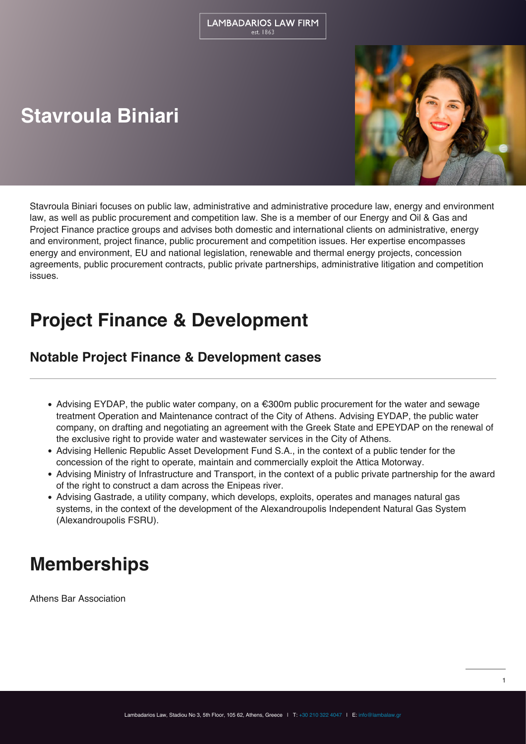# **Stavroula Biniari**



Stavroula Biniari focuses on public law, administrative and administrative procedure law, energy and environment law, as well as public procurement and competition law. She is a member of our Energy and Oil & Gas and Project Finance practice groups and advises both domestic and international clients on administrative, energy and environment, project finance, public procurement and competition issues. Her expertise encompasses energy and environment, EU and national legislation, renewable and thermal energy projects, concession agreements, public procurement contracts, public private partnerships, administrative litigation and competition issues.

# **Project Finance & Development**

#### **Notable Project Finance & Development cases**

- $\bullet$  Advising EYDAP, the public water company, on a  $\epsilon$ 300m public procurement for the water and sewage treatment Operation and Maintenance contract of the City of Athens. Advising EYDAP, the public water company, on drafting and negotiating an agreement with the Greek State and EPEYDAP on the renewal of the exclusive right to provide water and wastewater services in the City of Athens.
- Advising Hellenic Republic Asset Development Fund S.A., in the context of a public tender for the concession of the right to operate, maintain and commercially exploit the Attica Motorway.
- Advising Ministry of Infrastructure and Transport, in the context of a public private partnership for the award of the right to construct a dam across the Enipeas river.
- Advising Gastrade, a utility company, which develops, exploits, operates and manages natural gas systems, in the context of the development of the Alexandroupolis Independent Natural Gas System (Alexandroupolis FSRU).

#### **Memberships**

Athens Bar Association